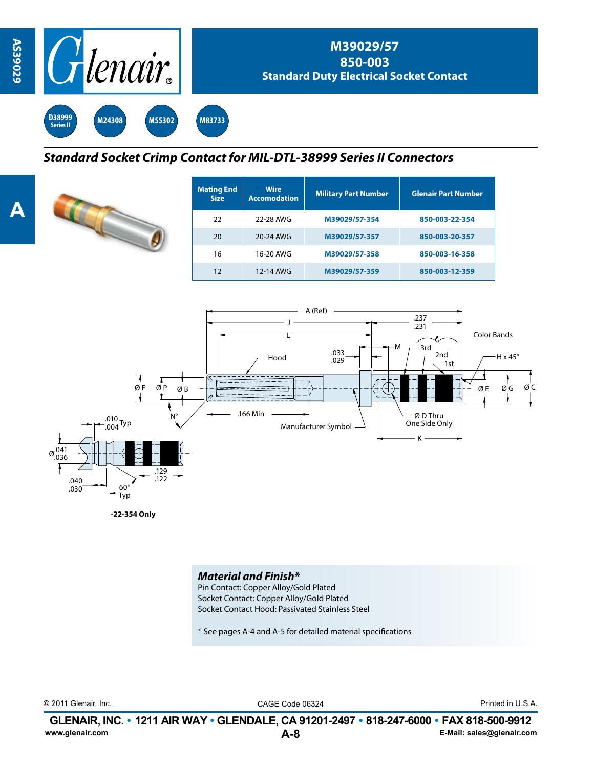

## *Standard Socket Crimp Contact for MIL-DTL-38999 Series II Connectors*



| <b>Mating End</b><br><b>Size</b> | <b>Wire</b><br><b>Accomodation</b> | <b>Military Part Number</b> | <b>Glenair Part Number</b> |  |  |
|----------------------------------|------------------------------------|-----------------------------|----------------------------|--|--|
| 22                               | 22-28 AWG                          | M39029/57-354               | 850-003-22-354             |  |  |
| 20                               | 20-24 AWG                          | M39029/57-357               | 850-003-20-357             |  |  |
| 16                               | 16-20 AWG                          | M39029/57-358               | 850-003-16-358             |  |  |
| 12                               | 12-14 AWG                          | M39029/57-359               | 850-003-12-359             |  |  |



**-22-354 Only**

## *Material and Finish\**

Pin Contact: Copper Alloy/Gold Plated Socket Contact: Copper Alloy/Gold Plated Socket Contact Hood: Passivated Stainless Steel

\* See pages A-4 and A-5 for detailed material specifications

© 2011 Glenair, Inc. CAGE Code 06324 Printed in U.S.A.

**A-8 GLENAIR, INC. • 1211 AIR WAY • GLENDALE, CA 91201-2497 • 818-247-6000 • FAX 818-500-9912**<br>E-Mail: sales@glenair.com **www.glenair.com E-Mail: sales@glenair.com**